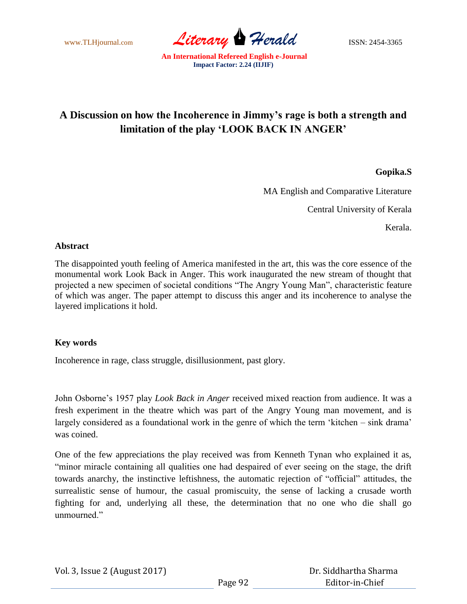www.TLHjournal.com *Literary Herald* ISSN: 2454-3365

## **A Discussion on how the Incoherence in Jimmy's rage is both a strength and limitation of the play 'LOOK BACK IN ANGER'**

**Gopika.S**

MA English and Comparative Literature

Central University of Kerala

Kerala.

## **Abstract**

The disappointed youth feeling of America manifested in the art, this was the core essence of the monumental work Look Back in Anger. This work inaugurated the new stream of thought that projected a new specimen of societal conditions "The Angry Young Man", characteristic feature of which was anger. The paper attempt to discuss this anger and its incoherence to analyse the layered implications it hold.

## **Key words**

Incoherence in rage, class struggle, disillusionment, past glory.

John Osborne"s 1957 play *Look Back in Anger* received mixed reaction from audience. It was a fresh experiment in the theatre which was part of the Angry Young man movement, and is largely considered as a foundational work in the genre of which the term 'kitchen – sink drama' was coined.

One of the few appreciations the play received was from Kenneth Tynan who explained it as, "minor miracle containing all qualities one had despaired of ever seeing on the stage, the drift towards anarchy, the instinctive leftishness, the automatic rejection of "official" attitudes, the surrealistic sense of humour, the casual promiscuity, the sense of lacking a crusade worth fighting for and, underlying all these, the determination that no one who die shall go unmourned."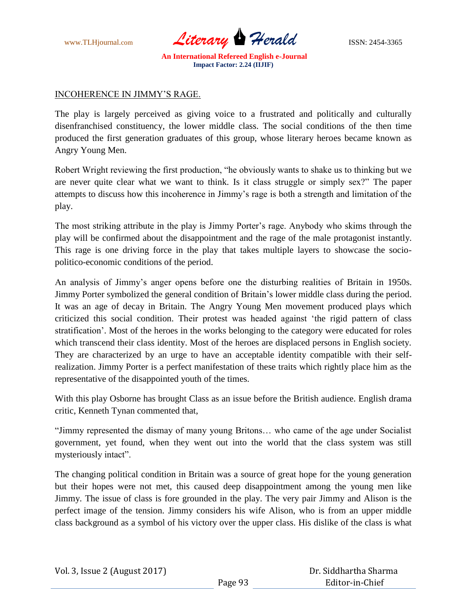

## INCOHERENCE IN JIMMY"S RAGE.

The play is largely perceived as giving voice to a frustrated and politically and culturally disenfranchised constituency, the lower middle class. The social conditions of the then time produced the first generation graduates of this group, whose literary heroes became known as Angry Young Men.

Robert Wright reviewing the first production, "he obviously wants to shake us to thinking but we are never quite clear what we want to think. Is it class struggle or simply sex?" The paper attempts to discuss how this incoherence in Jimmy"s rage is both a strength and limitation of the play.

The most striking attribute in the play is Jimmy Porter's rage. Anybody who skims through the play will be confirmed about the disappointment and the rage of the male protagonist instantly. This rage is one driving force in the play that takes multiple layers to showcase the sociopolitico-economic conditions of the period.

An analysis of Jimmy"s anger opens before one the disturbing realities of Britain in 1950s. Jimmy Porter symbolized the general condition of Britain"s lower middle class during the period. It was an age of decay in Britain. The Angry Young Men movement produced plays which criticized this social condition. Their protest was headed against "the rigid pattern of class stratification". Most of the heroes in the works belonging to the category were educated for roles which transcend their class identity. Most of the heroes are displaced persons in English society. They are characterized by an urge to have an acceptable identity compatible with their selfrealization. Jimmy Porter is a perfect manifestation of these traits which rightly place him as the representative of the disappointed youth of the times.

With this play Osborne has brought Class as an issue before the British audience. English drama critic, Kenneth Tynan commented that,

"Jimmy represented the dismay of many young Britons… who came of the age under Socialist government, yet found, when they went out into the world that the class system was still mysteriously intact".

The changing political condition in Britain was a source of great hope for the young generation but their hopes were not met, this caused deep disappointment among the young men like Jimmy. The issue of class is fore grounded in the play. The very pair Jimmy and Alison is the perfect image of the tension. Jimmy considers his wife Alison, who is from an upper middle class background as a symbol of his victory over the upper class. His dislike of the class is what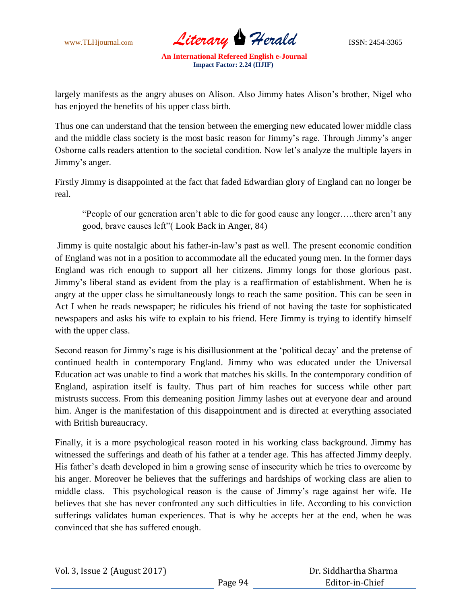

largely manifests as the angry abuses on Alison. Also Jimmy hates Alison"s brother, Nigel who has enjoyed the benefits of his upper class birth.

Thus one can understand that the tension between the emerging new educated lower middle class and the middle class society is the most basic reason for Jimmy"s rage. Through Jimmy"s anger Osborne calls readers attention to the societal condition. Now let"s analyze the multiple layers in Jimmy's anger.

Firstly Jimmy is disappointed at the fact that faded Edwardian glory of England can no longer be real.

"People of our generation aren"t able to die for good cause any longer…..there aren"t any good, brave causes left"( Look Back in Anger, 84)

Jimmy is quite nostalgic about his father-in-law"s past as well. The present economic condition of England was not in a position to accommodate all the educated young men. In the former days England was rich enough to support all her citizens. Jimmy longs for those glorious past. Jimmy"s liberal stand as evident from the play is a reaffirmation of establishment. When he is angry at the upper class he simultaneously longs to reach the same position. This can be seen in Act I when he reads newspaper; he ridicules his friend of not having the taste for sophisticated newspapers and asks his wife to explain to his friend. Here Jimmy is trying to identify himself with the upper class.

Second reason for Jimmy's rage is his disillusionment at the 'political decay' and the pretense of continued health in contemporary England. Jimmy who was educated under the Universal Education act was unable to find a work that matches his skills. In the contemporary condition of England, aspiration itself is faulty. Thus part of him reaches for success while other part mistrusts success. From this demeaning position Jimmy lashes out at everyone dear and around him. Anger is the manifestation of this disappointment and is directed at everything associated with British bureaucracy.

Finally, it is a more psychological reason rooted in his working class background. Jimmy has witnessed the sufferings and death of his father at a tender age. This has affected Jimmy deeply. His father's death developed in him a growing sense of insecurity which he tries to overcome by his anger. Moreover he believes that the sufferings and hardships of working class are alien to middle class. This psychological reason is the cause of Jimmy"s rage against her wife. He believes that she has never confronted any such difficulties in life. According to his conviction sufferings validates human experiences. That is why he accepts her at the end, when he was convinced that she has suffered enough.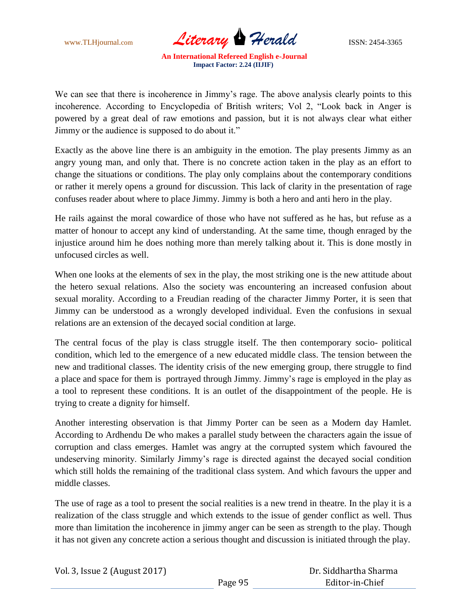www.TLHjournal.com *Literary Herald* ISSN: 2454-3365

We can see that there is incoherence in Jimmy's rage. The above analysis clearly points to this incoherence. According to Encyclopedia of British writers; Vol 2, "Look back in Anger is powered by a great deal of raw emotions and passion, but it is not always clear what either Jimmy or the audience is supposed to do about it."

Exactly as the above line there is an ambiguity in the emotion. The play presents Jimmy as an angry young man, and only that. There is no concrete action taken in the play as an effort to change the situations or conditions. The play only complains about the contemporary conditions or rather it merely opens a ground for discussion. This lack of clarity in the presentation of rage confuses reader about where to place Jimmy. Jimmy is both a hero and anti hero in the play.

He rails against the moral cowardice of those who have not suffered as he has, but refuse as a matter of honour to accept any kind of understanding. At the same time, though enraged by the injustice around him he does nothing more than merely talking about it. This is done mostly in unfocused circles as well.

When one looks at the elements of sex in the play, the most striking one is the new attitude about the hetero sexual relations. Also the society was encountering an increased confusion about sexual morality. According to a Freudian reading of the character Jimmy Porter, it is seen that Jimmy can be understood as a wrongly developed individual. Even the confusions in sexual relations are an extension of the decayed social condition at large.

The central focus of the play is class struggle itself. The then contemporary socio- political condition, which led to the emergence of a new educated middle class. The tension between the new and traditional classes. The identity crisis of the new emerging group, there struggle to find a place and space for them is portrayed through Jimmy. Jimmy"s rage is employed in the play as a tool to represent these conditions. It is an outlet of the disappointment of the people. He is trying to create a dignity for himself.

Another interesting observation is that Jimmy Porter can be seen as a Modern day Hamlet. According to Ardhendu De who makes a parallel study between the characters again the issue of corruption and class emerges. Hamlet was angry at the corrupted system which favoured the undeserving minority. Similarly Jimmy's rage is directed against the decayed social condition which still holds the remaining of the traditional class system. And which favours the upper and middle classes.

The use of rage as a tool to present the social realities is a new trend in theatre. In the play it is a realization of the class struggle and which extends to the issue of gender conflict as well. Thus more than limitation the incoherence in jimmy anger can be seen as strength to the play. Though it has not given any concrete action a serious thought and discussion is initiated through the play.